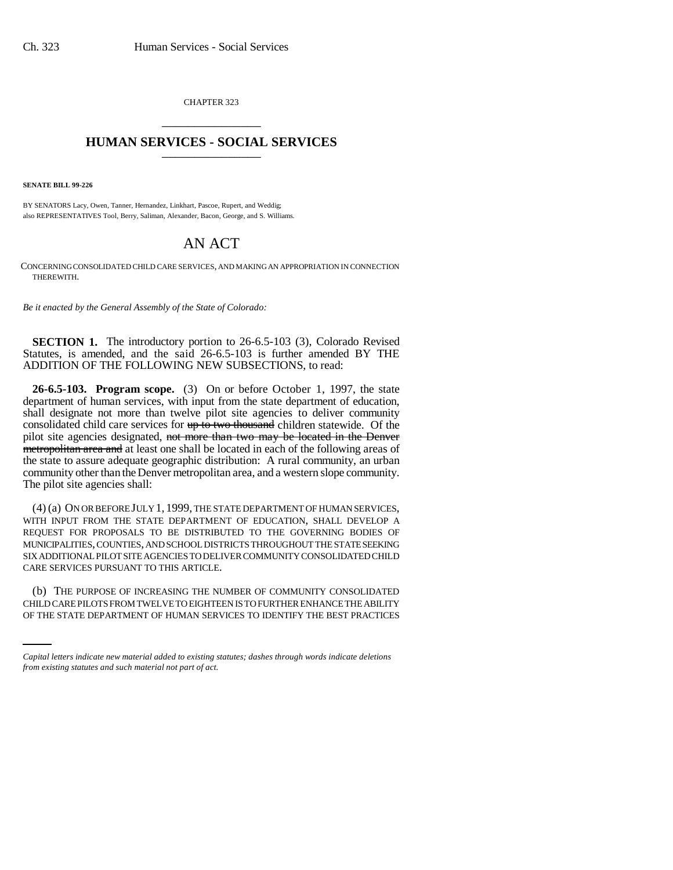CHAPTER 323 \_\_\_\_\_\_\_\_\_\_\_\_\_\_\_

## **HUMAN SERVICES - SOCIAL SERVICES** \_\_\_\_\_\_\_\_\_\_\_\_\_\_\_

**SENATE BILL 99-226** 

BY SENATORS Lacy, Owen, Tanner, Hernandez, Linkhart, Pascoe, Rupert, and Weddig; also REPRESENTATIVES Tool, Berry, Saliman, Alexander, Bacon, George, and S. Williams.

## AN ACT

CONCERNING CONSOLIDATED CHILD CARE SERVICES, AND MAKING AN APPROPRIATION IN CONNECTION THEREWITH.

*Be it enacted by the General Assembly of the State of Colorado:*

**SECTION 1.** The introductory portion to 26-6.5-103 (3), Colorado Revised Statutes, is amended, and the said 26-6.5-103 is further amended BY THE ADDITION OF THE FOLLOWING NEW SUBSECTIONS, to read:

**26-6.5-103. Program scope.** (3) On or before October 1, 1997, the state department of human services, with input from the state department of education, shall designate not more than twelve pilot site agencies to deliver community consolidated child care services for up to two thousand children statewide. Of the pilot site agencies designated, not more than two may be located in the Denver metropolitan area and at least one shall be located in each of the following areas of the state to assure adequate geographic distribution: A rural community, an urban community other than the Denver metropolitan area, and a western slope community. The pilot site agencies shall:

(4) (a) ON OR BEFORE JULY 1, 1999, THE STATE DEPARTMENT OF HUMAN SERVICES, WITH INPUT FROM THE STATE DEPARTMENT OF EDUCATION, SHALL DEVELOP A REQUEST FOR PROPOSALS TO BE DISTRIBUTED TO THE GOVERNING BODIES OF MUNICIPALITIES, COUNTIES, AND SCHOOL DISTRICTS THROUGHOUT THE STATE SEEKING SIX ADDITIONAL PILOT SITE AGENCIES TO DELIVER COMMUNITY CONSOLIDATED CHILD CARE SERVICES PURSUANT TO THIS ARTICLE.

(b) THE PURPOSE OF INCREASING THE NUMBER OF COMMUNITY CONSOLIDATED CHILD CARE PILOTS FROM TWELVE TO EIGHTEEN IS TO FURTHER ENHANCE THE ABILITY OF THE STATE DEPARTMENT OF HUMAN SERVICES TO IDENTIFY THE BEST PRACTICES

*Capital letters indicate new material added to existing statutes; dashes through words indicate deletions from existing statutes and such material not part of act.*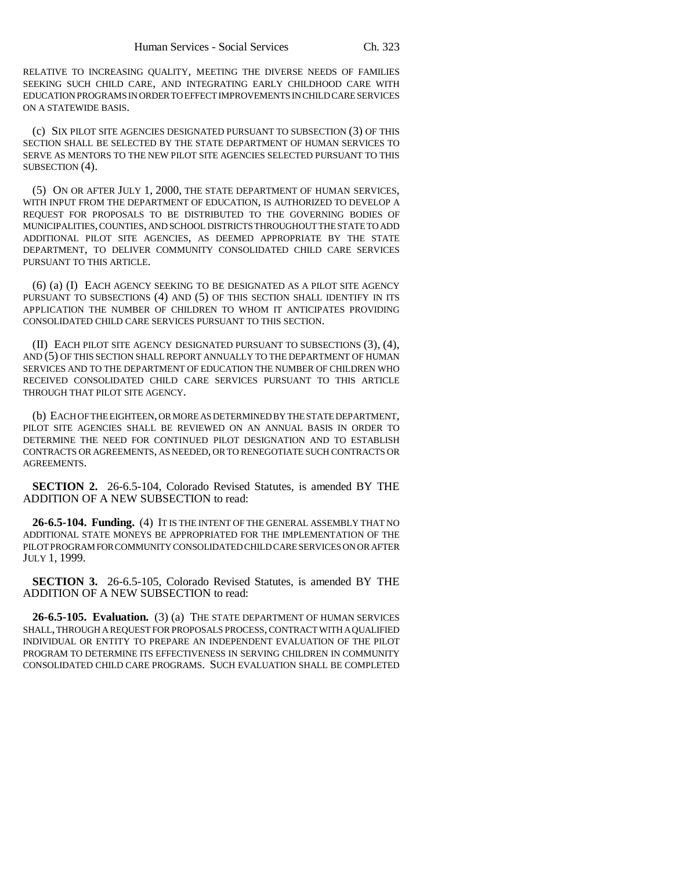RELATIVE TO INCREASING QUALITY, MEETING THE DIVERSE NEEDS OF FAMILIES SEEKING SUCH CHILD CARE, AND INTEGRATING EARLY CHILDHOOD CARE WITH EDUCATION PROGRAMS IN ORDER TO EFFECT IMPROVEMENTS IN CHILD CARE SERVICES ON A STATEWIDE BASIS.

(c) SIX PILOT SITE AGENCIES DESIGNATED PURSUANT TO SUBSECTION (3) OF THIS SECTION SHALL BE SELECTED BY THE STATE DEPARTMENT OF HUMAN SERVICES TO SERVE AS MENTORS TO THE NEW PILOT SITE AGENCIES SELECTED PURSUANT TO THIS SUBSECTION (4).

(5) ON OR AFTER JULY 1, 2000, THE STATE DEPARTMENT OF HUMAN SERVICES, WITH INPUT FROM THE DEPARTMENT OF EDUCATION, IS AUTHORIZED TO DEVELOP A REQUEST FOR PROPOSALS TO BE DISTRIBUTED TO THE GOVERNING BODIES OF MUNICIPALITIES, COUNTIES, AND SCHOOL DISTRICTS THROUGHOUT THE STATE TO ADD ADDITIONAL PILOT SITE AGENCIES, AS DEEMED APPROPRIATE BY THE STATE DEPARTMENT, TO DELIVER COMMUNITY CONSOLIDATED CHILD CARE SERVICES PURSUANT TO THIS ARTICLE.

(6) (a) (I) EACH AGENCY SEEKING TO BE DESIGNATED AS A PILOT SITE AGENCY PURSUANT TO SUBSECTIONS (4) AND (5) OF THIS SECTION SHALL IDENTIFY IN ITS APPLICATION THE NUMBER OF CHILDREN TO WHOM IT ANTICIPATES PROVIDING CONSOLIDATED CHILD CARE SERVICES PURSUANT TO THIS SECTION.

(II) EACH PILOT SITE AGENCY DESIGNATED PURSUANT TO SUBSECTIONS (3), (4), AND (5) OF THIS SECTION SHALL REPORT ANNUALLY TO THE DEPARTMENT OF HUMAN SERVICES AND TO THE DEPARTMENT OF EDUCATION THE NUMBER OF CHILDREN WHO RECEIVED CONSOLIDATED CHILD CARE SERVICES PURSUANT TO THIS ARTICLE THROUGH THAT PILOT SITE AGENCY.

(b) EACH OF THE EIGHTEEN, OR MORE AS DETERMINED BY THE STATE DEPARTMENT, PILOT SITE AGENCIES SHALL BE REVIEWED ON AN ANNUAL BASIS IN ORDER TO DETERMINE THE NEED FOR CONTINUED PILOT DESIGNATION AND TO ESTABLISH CONTRACTS OR AGREEMENTS, AS NEEDED, OR TO RENEGOTIATE SUCH CONTRACTS OR AGREEMENTS.

**SECTION 2.** 26-6.5-104, Colorado Revised Statutes, is amended BY THE ADDITION OF A NEW SUBSECTION to read:

**26-6.5-104. Funding.** (4) IT IS THE INTENT OF THE GENERAL ASSEMBLY THAT NO ADDITIONAL STATE MONEYS BE APPROPRIATED FOR THE IMPLEMENTATION OF THE PILOT PROGRAM FOR COMMUNITY CONSOLIDATED CHILD CARE SERVICES ON OR AFTER JULY 1, 1999.

**SECTION 3.** 26-6.5-105, Colorado Revised Statutes, is amended BY THE ADDITION OF A NEW SUBSECTION to read:

**26-6.5-105. Evaluation.** (3) (a) THE STATE DEPARTMENT OF HUMAN SERVICES SHALL, THROUGH A REQUEST FOR PROPOSALS PROCESS, CONTRACT WITH A QUALIFIED INDIVIDUAL OR ENTITY TO PREPARE AN INDEPENDENT EVALUATION OF THE PILOT PROGRAM TO DETERMINE ITS EFFECTIVENESS IN SERVING CHILDREN IN COMMUNITY CONSOLIDATED CHILD CARE PROGRAMS. SUCH EVALUATION SHALL BE COMPLETED